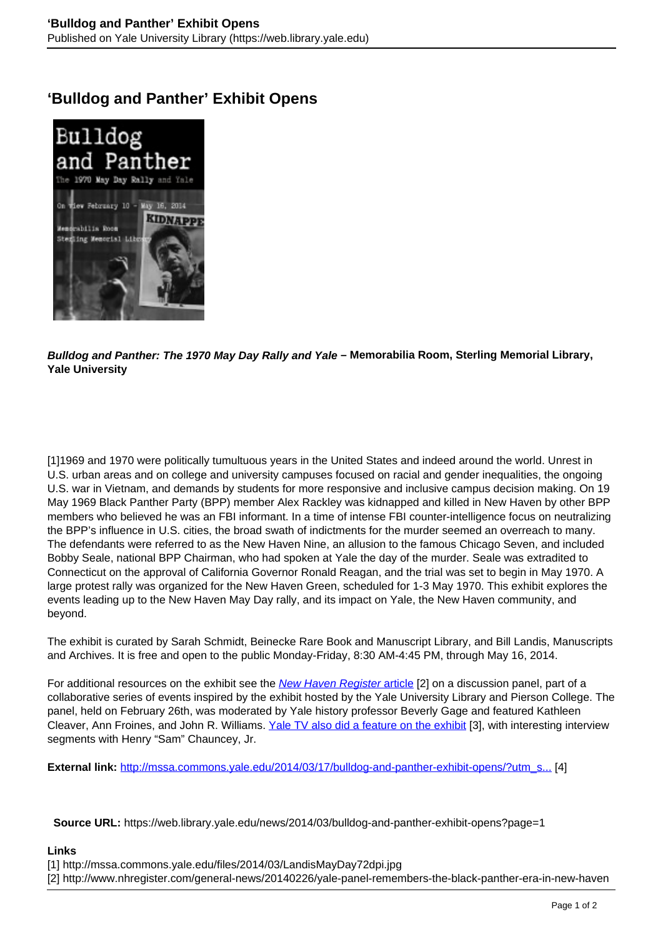## **'Bulldog and Panther' Exhibit Opens**



**Bulldog and Panther: The 1970 May Day Rally and Yale – Memorabilia Room, Sterling Memorial Library, Yale University**

[1]1969 and 1970 were politically tumultuous years in the United States and indeed around the world. Unrest in U.S. urban areas and on college and university campuses focused on racial and gender inequalities, the ongoing U.S. war in Vietnam, and demands by students for more responsive and inclusive campus decision making. On 19 May 1969 Black Panther Party (BPP) member Alex Rackley was kidnapped and killed in New Haven by other BPP members who believed he was an FBI informant. In a time of intense FBI counter-intelligence focus on neutralizing the BPP's influence in U.S. cities, the broad swath of indictments for the murder seemed an overreach to many. The defendants were referred to as the New Haven Nine, an allusion to the famous Chicago Seven, and included Bobby Seale, national BPP Chairman, who had spoken at Yale the day of the murder. Seale was extradited to Connecticut on the approval of California Governor Ronald Reagan, and the trial was set to begin in May 1970. A large protest rally was organized for the New Haven Green, scheduled for 1-3 May 1970. This exhibit explores the events leading up to the New Haven May Day rally, and its impact on Yale, the New Haven community, and beyond.

The exhibit is curated by Sarah Schmidt, Beinecke Rare Book and Manuscript Library, and Bill Landis, Manuscripts and Archives. It is free and open to the public Monday-Friday, 8:30 AM-4:45 PM, through May 16, 2014.

For additional resources on the exhibit see the New Haven Register article [2] on a discussion panel, part of a collaborative series of events inspired by the exhibit hosted by the Yale University Library and Pierson College. The panel, held on February 26th, was moderated by Yale history professor Beverly Gage and featured Kathleen Cleaver, Ann Froines, and John R. Williams. Yale TV also did a feature on the exhibit [3], with interesting interview segments with Henry "Sam" Chauncey, Jr.

**External link:** http://mssa.commons.yale.edu/2014/03/17/bulldog-and-panther-exhibit-opens/?utm\_s... [4]

**Source URL:** https://web.library.yale.edu/news/2014/03/bulldog-and-panther-exhibit-opens?page=1

## **Links**

[1] http://mssa.commons.yale.edu/files/2014/03/LandisMayDay72dpi.jpg

[2] http://www.nhregister.com/general-news/20140226/yale-panel-remembers-the-black-panther-era-in-new-haven